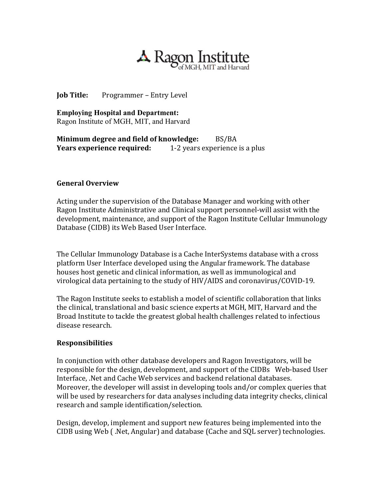

**Job Title:** Programmer – Entry Level

**Employing Hospital and Department:** Ragon Institute of MGH, MIT, and Harvard

**Minimum degree and field of knowledge:** BS/BA<br>**Years experience required:** 1-2 years experience 1-2 years experience is a plus

## **General Overview**

Acting under the supervision of the Database Manager and working with other Ragon Institute Administrative and Clinical support personnel-will assist with the development, maintenance, and support of the Ragon Institute Cellular Immunology Database (CIDB) its Web Based User Interface.

The Cellular Immunology Database is a Cache InterSystems database with a cross platform User Interface developed using the Angular framework. The database houses host genetic and clinical information, as well as immunological and virological data pertaining to the study of HIV/AIDS and coronavirus/COVID-19.

The Ragon Institute seeks to establish a model of scientific collaboration that links the clinical, translational and basic science experts at MGH, MIT, Harvard and the Broad Institute to tackle the greatest global health challenges related to infectious disease research.

## **Responsibilities**

In conjunction with other database developers and Ragon Investigators, will be responsible for the design, development, and support of the CIDBs Web-based User Interface, .Net and Cache Web services and backend relational databases. Moreover, the developer will assist in developing tools and/or complex queries that will be used by researchers for data analyses including data integrity checks, clinical research and sample identification/selection.

Design, develop, implement and support new features being implemented into the CIDB using Web ( .Net, Angular) and database (Cache and SQL server) technologies.